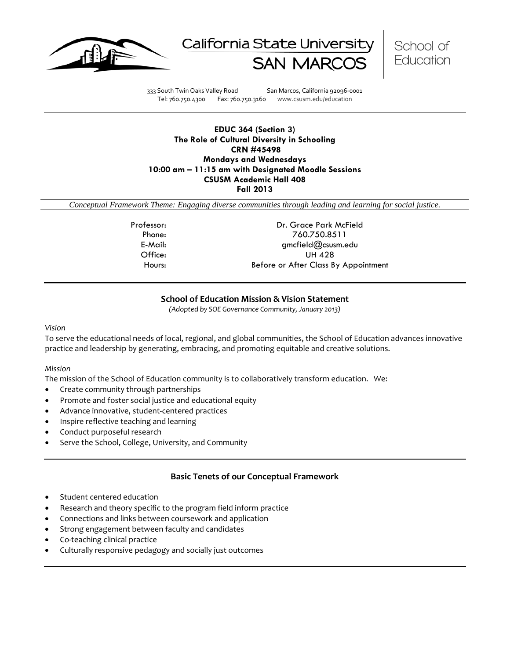





333 South Twin Oaks Valley Road San Marcos, California 92096-0001 Tel: 760.750.4300 Fax: 760.750.3160 www.csusm.edu/education

### **EDUC 364 (Section 3) The Role of Cultural Diversity in Schooling CRN #45498 Mondays and Wednesdays 10:00 am – 11:15 am with Designated Moodle Sessions CSUSM Academic Hall 408 Fall 2013**

*Conceptual Framework Theme: Engaging diverse communities through leading and learning for social justice.*

Professor: Dr. Grace Park McField Phone: 760.750.8511 E-Mail: gmcfield@csusm.edu Office: UH 428 Hours: Before or After Class By Appointment

# **School of Education Mission & Vision Statement**

*(Adopted by SOE Governance Community, January 2013)*

#### <span id="page-0-0"></span>*Vision*

To serve the educational needs of local, regional, and global communities, the School of Education advances innovative practice and leadership by generating, embracing, and promoting equitable and creative solutions.

#### *Mission*

The mission of the School of Education community is to collaboratively transform education. We:

- Create community through partnerships
- Promote and foster social justice and educational equity
- Advance innovative, student-centered practices
- Inspire reflective teaching and learning
- Conduct purposeful research
- Serve the School, College, University, and Community

# **Basic Tenets of our Conceptual Framework**

- <span id="page-0-1"></span>Student centered education
- Research and theory specific to the program field inform practice
- Connections and links between coursework and application
- Strong engagement between faculty and candidates
- Co-teaching clinical practice
- Culturally responsive pedagogy and socially just outcomes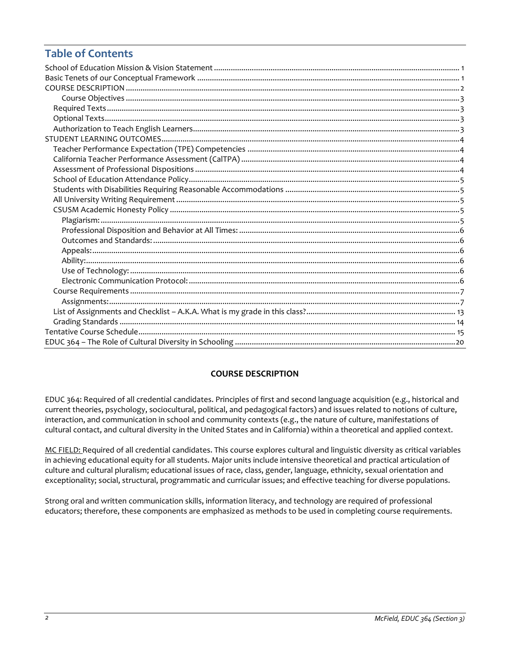# **Table of Contents**

# **COURSE DESCRIPTION**

<span id="page-1-0"></span>EDUC 364: Required of all credential candidates. Principles of first and second language acquisition (e.g., historical and current theories, psychology, sociocultural, political, and pedagogical factors) and issues related to notions of culture, interaction, and communication in school and community contexts (e.g., the nature of culture, manifestations of cultural contact, and cultural diversity in the United States and in California) within a theoretical and applied context.

MC FIELD: Required of all credential candidates. This course explores cultural and linguistic diversity as critical variables in achieving educational equity for all students. Major units include intensive theoretical and practical articulation of culture and cultural pluralism; educational issues of race, class, gender, language, ethnicity, sexual orientation and exceptionality; social, structural, programmatic and curricular issues; and effective teaching for diverse populations.

<span id="page-1-1"></span>Strong oral and written communication skills, information literacy, and technology are required of professional educators; therefore, these components are emphasized as methods to be used in completing course requirements.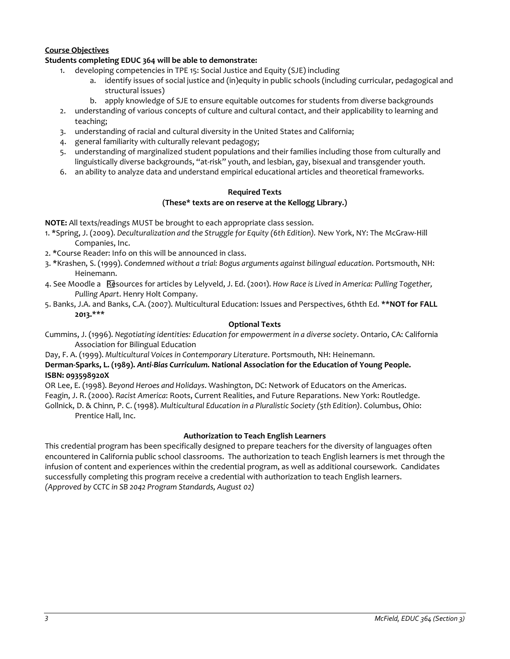# **Course Objectives**

## **Students completing EDUC 364 will be able to demonstrate:**

- 1. developing competencies in TPE 15: Social Justice and Equity (SJE) including
	- a. identify issues of social justice and (in)equity in public schools (including curricular, pedagogical and structural issues)
	- b. apply knowledge of SJE to ensure equitable outcomes for students from diverse backgrounds
- 2. understanding of various concepts of culture and cultural contact, and their applicability to learning and teaching;
- 3. understanding of racial and cultural diversity in the United States and California;
- 4. general familiarity with culturally relevant pedagogy;
- 5. understanding of marginalized student populations and their families including those from culturally and linguistically diverse backgrounds, "at-risk" youth, and lesbian, gay, bisexual and transgender youth.
- <span id="page-2-0"></span>6. an ability to analyze data and understand empirical educational articles and theoretical frameworks.

#### **Required Texts (These\* texts are on reserve at the Kellogg Library.)**

**NOTE:** All texts/readings MUST be brought to each appropriate class session.

- 1. \*Spring, J. (2009). *Deculturalization and the Struggle for Equity (6th Edition).* New York, NY: The McGraw-Hill Companies, Inc.
- 2. \*Course Reader: Info on this will be announced in class.
- 3. \*Krashen, S. (1999). *Condemned without a trial: Bogus arguments against bilingual education*. Portsmouth, NH: Heinemann.
- 4. See Moodle a Resources for articles by Lelyveld, J. Ed. (2001). *How Race is Lived in America: Pulling Together, Pulling Apart*. Henry Holt Company.
- 5. Banks, J.A. and Banks, C.A. (2007). Multicultural Education: Issues and Perspectives, 6thth Ed. **\*\*NOT for FALL 2013.\*\*\***

### **Optional Texts**

<span id="page-2-1"></span>Cummins, J. (1996). *Negotiating identities: Education for empowerment in a diverse society*. Ontario, CA: California Association for Bilingual Education

Day, F. A. (1999). *Multicultural Voices in Contemporary Literature*. Portsmouth, NH: Heinemann.

# **Derman-Sparks, L. (1989).** *Anti-Bias Curriculum.* **National Association for the Education of Young People. ISBN: 093598920X**

OR Lee, E. (1998). *Beyond Heroes and Holidays*. Washington, DC: Network of Educators on the Americas. Feagin, J. R. (2000). *Racist America*: Roots, Current Realities, and Future Reparations. New York: Routledge. Gollnick, D. & Chinn, P. C. (1998). *Multicultural Education in a Pluralistic Society (5th Edition)*. Columbus, Ohio: Prentice Hall, Inc.

#### **Authorization to Teach English Learners**

<span id="page-2-3"></span><span id="page-2-2"></span>This credential program has been specifically designed to prepare teachers for the diversity of languages often encountered in California public school classrooms. The authorization to teach English learners is met through the infusion of content and experiences within the credential program, as well as additional coursework. Candidates successfully completing this program receive a credential with authorization to teach English learners. *(Approved by CCTC in SB 2042 Program Standards, August 02)*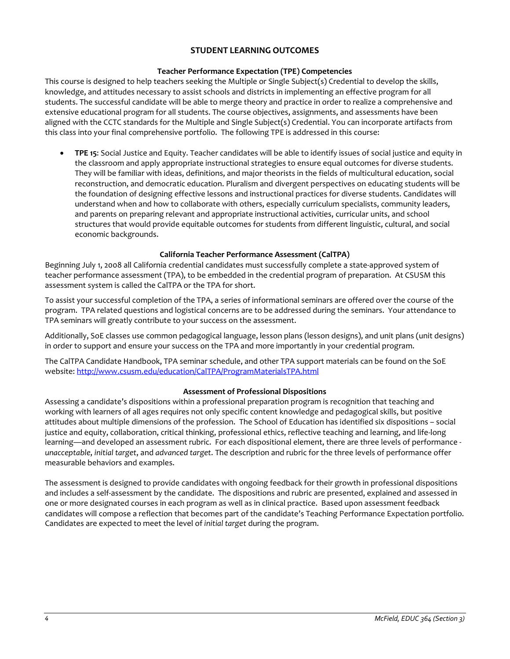# **STUDENT LEARNING OUTCOMES**

### **Teacher Performance Expectation (TPE) Competencies**

<span id="page-3-0"></span>This course is designed to help teachers seeking the Multiple or Single Subject(s) Credential to develop the skills, knowledge, and attitudes necessary to assist schools and districts in implementing an effective program for all students. The successful candidate will be able to merge theory and practice in order to realize a comprehensive and extensive educational program for all students. The course objectives, assignments, and assessments have been aligned with the CCTC standards for the Multiple and Single Subject(s) Credential. You can incorporate artifacts from this class into your final comprehensive portfolio. The following TPE is addressed in this course:

• **TPE 15**: Social Justice and Equity. Teacher candidates will be able to identify issues of social justice and equity in the classroom and apply appropriate instructional strategies to ensure equal outcomes for diverse students. They will be familiar with ideas, definitions, and major theorists in the fields of multicultural education, social reconstruction, and democratic education. Pluralism and divergent perspectives on educating students will be the foundation of designing effective lessons and instructional practices for diverse students. Candidates will understand when and how to collaborate with others, especially curriculum specialists, community leaders, and parents on preparing relevant and appropriate instructional activities, curricular units, and school structures that would provide equitable outcomes for students from different linguistic, cultural, and social economic backgrounds.

### **California Teacher Performance Assessment (CalTPA)**

<span id="page-3-1"></span>Beginning July 1, 2008 all California credential candidates must successfully complete a state-approved system of teacher performance assessment (TPA), to be embedded in the credential program of preparation. At CSUSM this assessment system is called the CalTPA or the TPA for short.

To assist your successful completion of the TPA, a series of informational seminars are offered over the course of the program. TPA related questions and logistical concerns are to be addressed during the seminars. Your attendance to TPA seminars will greatly contribute to your success on the assessment.

Additionally, SoE classes use common pedagogical language, lesson plans (lesson designs), and unit plans (unit designs) in order to support and ensure your success on the TPA and more importantly in your credential program.

The CalTPA Candidate Handbook, TPA seminar schedule, and other TPA support materials can be found on the SoE website: <http://www.csusm.edu/education/CalTPA/ProgramMaterialsTPA.html>

#### **Assessment of Professional Dispositions**

<span id="page-3-2"></span>Assessing a candidate's dispositions within a professional preparation program is recognition that teaching and working with learners of all ages requires not only specific content knowledge and pedagogical skills, but positive attitudes about multiple dimensions of the profession. The School of Education has identified six dispositions – social justice and equity, collaboration, critical thinking, professional ethics, reflective teaching and learning, and life-long learning—and developed an assessment rubric. For each dispositional element, there are three levels of performance *unacceptable*, *initial target*, and *advanced target*. The description and rubric for the three levels of performance offer measurable behaviors and examples.

<span id="page-3-3"></span>The assessment is designed to provide candidates with ongoing feedback for their growth in professional dispositions and includes a self-assessment by the candidate. The dispositions and rubric are presented, explained and assessed in one or more designated courses in each program as well as in clinical practice. Based upon assessment feedback candidates will compose a reflection that becomes part of the candidate's Teaching Performance Expectation portfolio. Candidates are expected to meet the level of *initial target* during the program.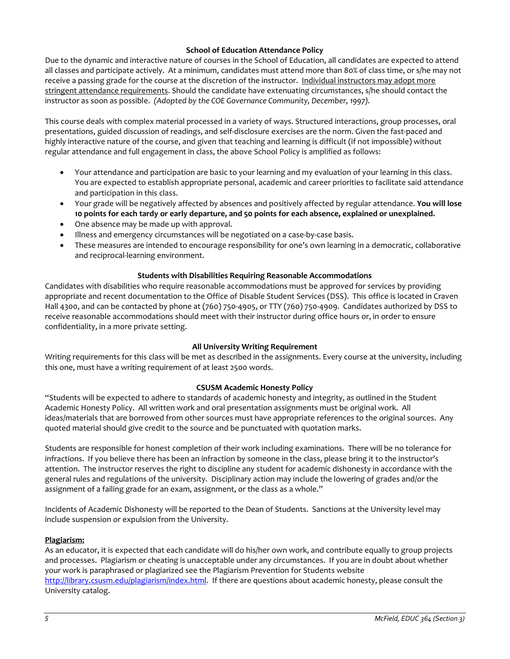# **School of Education Attendance Policy**

Due to the dynamic and interactive nature of courses in the School of Education, all candidates are expected to attend all classes and participate actively. At a minimum, candidates must attend more than 80% of class time, or s/he may not receive a passing grade for the course at the discretion of the instructor. Individual instructors may adopt more stringent attendance requirements. Should the candidate have extenuating circumstances, s/he should contact the instructor as soon as possible. *(Adopted by the COE Governance Community, December, 1997).*

This course deals with complex material processed in a variety of ways. Structured interactions, group processes, oral presentations, guided discussion of readings, and self-disclosure exercises are the norm. Given the fast-paced and highly interactive nature of the course, and given that teaching and learning is difficult (if not impossible) without regular attendance and full engagement in class, the above School Policy is amplified as follows:

- Your attendance and participation are basic to your learning and my evaluation of your learning in this class. You are expected to establish appropriate personal, academic and career priorities to facilitate said attendance and participation in this class.
- Your grade will be negatively affected by absences and positively affected by regular attendance. **You will lose 10 points for each tardy or early departure, and 50 points for each absence, explained or unexplained.**
- One absence may be made up with approval.
- Illness and emergency circumstances will be negotiated on a case-by-case basis.
- These measures are intended to encourage responsibility for one's own learning in a democratic, collaborative and reciprocal-learning environment.

### **Students with Disabilities Requiring Reasonable Accommodations**

<span id="page-4-0"></span>Candidates with disabilities who require reasonable accommodations must be approved for services by providing appropriate and recent documentation to the Office of Disable Student Services (DSS). This office is located in Craven Hall 4300, and can be contacted by phone at (760) 750-4905, or TTY (760) 750-4909. Candidates authorized by DSS to receive reasonable accommodations should meet with their instructor during office hours or, in order to ensure confidentiality, in a more private setting.

#### **All University Writing Requirement**

<span id="page-4-1"></span>Writing requirements for this class will be met as described in the assignments. Every course at the university, including this one, must have a writing requirement of at least 2500 words.

# **CSUSM Academic Honesty Policy**

<span id="page-4-2"></span>"Students will be expected to adhere to standards of academic honesty and integrity, as outlined in the Student Academic Honesty Policy. All written work and oral presentation assignments must be original work. All ideas/materials that are borrowed from other sources must have appropriate references to the original sources. Any quoted material should give credit to the source and be punctuated with quotation marks.

Students are responsible for honest completion of their work including examinations. There will be no tolerance for infractions. If you believe there has been an infraction by someone in the class, please bring it to the instructor's attention. The instructor reserves the right to discipline any student for academic dishonesty in accordance with the general rules and regulations of the university. Disciplinary action may include the lowering of grades and/or the assignment of a failing grade for an exam, assignment, or the class as a whole."

Incidents of Academic Dishonesty will be reported to the Dean of Students. Sanctions at the University level may include suspension or expulsion from the University.

# <span id="page-4-3"></span>**Plagiarism:**

As an educator, it is expected that each candidate will do his/her own work, and contribute equally to group projects and processes. Plagiarism or cheating is unacceptable under any circumstances. If you are in doubt about whether your work is paraphrased or plagiarized see the Plagiarism Prevention for Students website [http://library.csusm.edu/plagiarism/index.html.](http://library.csusm.edu/plagiarism/index.html) If there are questions about academic honesty, please consult the University catalog.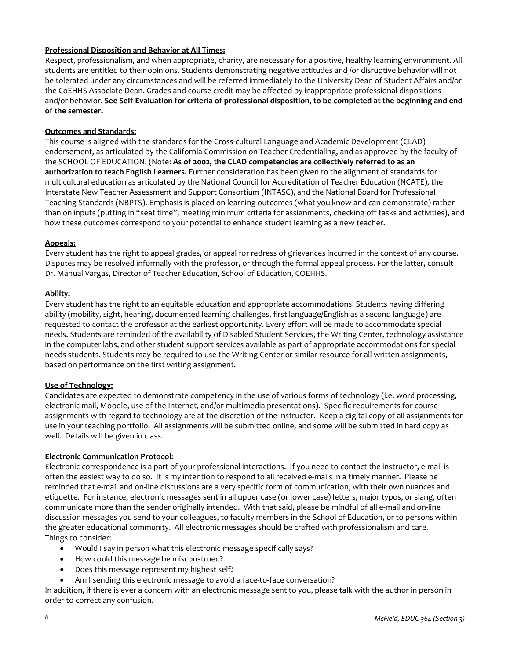# <span id="page-5-0"></span>**Professional Disposition and Behavior at All Times:**

Respect, professionalism, and when appropriate, charity, are necessary for a positive, healthy learning environment. All students are entitled to their opinions. Students demonstrating negative attitudes and /or disruptive behavior will not be tolerated under any circumstances and will be referred immediately to the University Dean of Student Affairs and/or the CoEHHS Associate Dean. Grades and course credit may be affected by inappropriate professional dispositions and/or behavior. **See Self-Evaluation for criteria of professional disposition, to be completed at the beginning and end of the semester.**

#### <span id="page-5-1"></span>**Outcomes and Standards:**

This course is aligned with the standards for the Cross-cultural Language and Academic Development (CLAD) endorsement, as articulated by the California Commission on Teacher Credentialing, and as approved by the faculty of the SCHOOL OF EDUCATION. (Note: **As of 2002, the CLAD competencies are collectively referred to as an authorization to teach English Learners.** Further consideration has been given to the alignment of standards for multicultural education as articulated by the National Council for Accreditation of Teacher Education (NCATE), the Interstate New Teacher Assessment and Support Consortium (INTASC), and the National Board for Professional Teaching Standards (NBPTS). Emphasis is placed on learning outcomes (what you know and can demonstrate) rather than on inputs (putting in "seat time", meeting minimum criteria for assignments, checking off tasks and activities), and how these outcomes correspond to your potential to enhance student learning as a new teacher.

#### <span id="page-5-2"></span>**Appeals:**

Every student has the right to appeal grades, or appeal for redress of grievances incurred in the context of any course. Disputes may be resolved informally with the professor, or through the formal appeal process. For the latter, consult Dr. Manual Vargas, Director of Teacher Education, School of Education, COEHHS.

### <span id="page-5-3"></span>**Ability:**

Every student has the right to an equitable education and appropriate accommodations. Students having differing ability (mobility, sight, hearing, documented learning challenges, first language/English as a second language) are requested to contact the professor at the earliest opportunity. Every effort will be made to accommodate special needs. Students are reminded of the availability of Disabled Student Services, the Writing Center, technology assistance in the computer labs, and other student support services available as part of appropriate accommodations for special needs students. Students may be required to use the Writing Center or similar resource for all written assignments, based on performance on the first writing assignment.

#### <span id="page-5-4"></span>**Use of Technology:**

Candidates are expected to demonstrate competency in the use of various forms of technology (i.e. word processing, electronic mail, Moodle, use of the Internet, and/or multimedia presentations). Specific requirements for course assignments with regard to technology are at the discretion of the instructor. Keep a digital copy of all assignments for use in your teaching portfolio. All assignments will be submitted online, and some will be submitted in hard copy as well. Details will be given in class.

#### <span id="page-5-5"></span>**Electronic Communication Protocol:**

Electronic correspondence is a part of your professional interactions. If you need to contact the instructor, e-mail is often the easiest way to do so. It is my intention to respond to all received e-mails in a timely manner. Please be reminded that e-mail and on-line discussions are a very specific form of communication, with their own nuances and etiquette. For instance, electronic messages sent in all upper case (or lower case) letters, major typos, or slang, often communicate more than the sender originally intended. With that said, please be mindful of all e-mail and on-line discussion messages you send to your colleagues, to faculty members in the School of Education, or to persons within the greater educational community. All electronic messages should be crafted with professionalism and care. Things to consider:

- Would I say in person what this electronic message specifically says?
- How could this message be misconstrued?
- Does this message represent my highest self?
- Am I sending this electronic message to avoid a face-to-face conversation?

In addition, if there is ever a concern with an electronic message sent to you, please talk with the author in person in order to correct any confusion.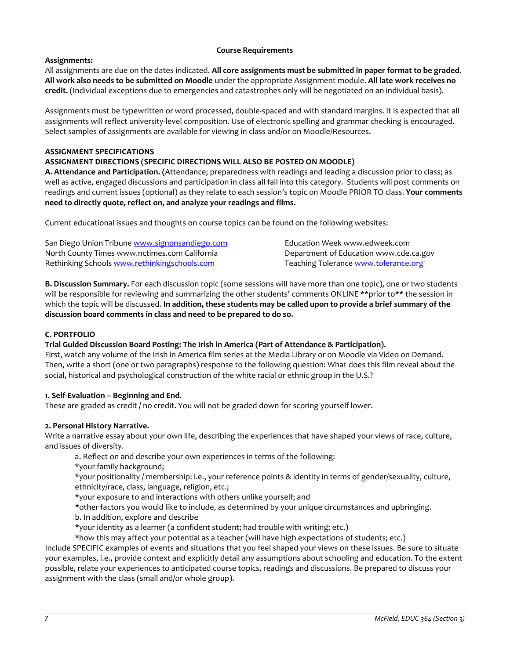### **Course Requirements**

# <span id="page-6-1"></span><span id="page-6-0"></span>**Assignments:**

All assignments are due on the dates indicated. **All core assignments must be submitted in paper format to be graded**. **All work also needs to be submitted on Moodle** under the appropriate Assignment module. **All late work receives no credit.** (Individual exceptions due to emergencies and catastrophes only will be negotiated on an individual basis).

Assignments must be typewritten or word processed, double-spaced and with standard margins. It is expected that all assignments will reflect university-level composition. Use of electronic spelling and grammar checking is encouraged. Select samples of assignments are available for viewing in class and/or on Moodle/Resources.

# **ASSIGNMENT SPECIFICATIONS**

# **ASSIGNMENT DIRECTIONS (SPECIFIC DIRECTIONS WILL ALSO BE POSTED ON MOODLE)**

**A. Attendance and Participation. (**Attendance; preparedness with readings and leading a discussion prior to class; as well as active, engaged discussions and participation in class all fall into this category. Students will post comments on readings and current issues (optional) as they relate to each session's topic on Moodle PRIOR TO class. **Your comments need to directly quote, reflect on, and analyze your readings and films.**

Current educational issues and thoughts on course topics can be found on the following websites:

| San Diego Union Tribune www.signonsandiego.com | Education Week www.edweek.com          |
|------------------------------------------------|----------------------------------------|
| North County Times www.nctimes.com California  | Department of Education www.cde.ca.gov |
| Rethinking Schools www.rethinkingschools.com   | Teaching Tolerance www.tolerance.org   |

**B. Discussion Summary.** For each discussion topic (some sessions will have more than one topic), one or two students will be responsible for reviewing and summarizing the other students' comments ONLINE \*\*prior to\*\* the session in which the topic will be discussed. **In addition, these students may be called upon to provide a brief summary of the discussion board comments in class and need to be prepared to do so.**

# **C. PORTFOLIO**

# **Trial Guided Discussion Board Posting: The Irish in America (Part of Attendance & Participation).**

First, watch any volume of the Irish in America film series at the Media Library or on Moodle via Video on Demand. Then, write a short (one or two paragraphs) response to the following question: What does this film reveal about the social, historical and psychological construction of the white racial or ethnic group in the U.S.?

# **1. Self-Evaluation – Beginning and End**.

These are graded as credit / no credit. You will not be graded down for scoring yourself lower.

# **2. Personal History Narrative.**

Write a narrative essay about your own life, describing the experiences that have shaped your views of race, culture, and issues of diversity.

- a. Reflect on and describe your own experiences in terms of the following:
- \*your family background;

\*your positionality / membership: i.e., your reference points & identity in terms of gender/sexuality, culture, ethnicity/race, class, language, religion, etc.;

\*your exposure to and interactions with others unlike yourself; and

\*other factors you would like to include, as determined by your unique circumstances and upbringing.

b. In addition, explore and describe

\*your identity as a learner (a confident student; had trouble with writing; etc.)

\*how this may affect your potential as a teacher (will have high expectations of students; etc.) Include SPECIFIC examples of events and situations that you feel shaped your views on these issues. Be sure to situate your examples, i.e., provide context and explicitly detail any assumptions about schooling and education. To the extent possible, relate your experiences to anticipated course topics, readings and discussions. Be prepared to discuss your assignment with the class (small and/or whole group).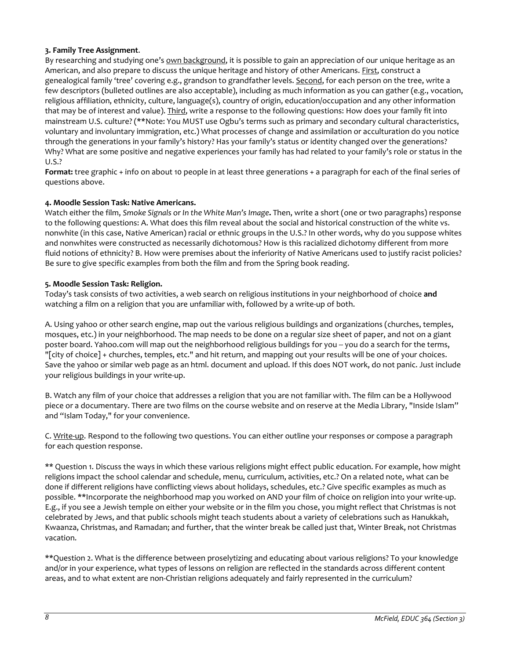# **3. Family Tree Assignment**.

By researching and studying one's own background, it is possible to gain an appreciation of our unique heritage as an American, and also prepare to discuss the unique heritage and history of other Americans. *First*, construct a genealogical family 'tree' covering e.g., grandson to grandfather levels. Second, for each person on the tree, write a few descriptors (bulleted outlines are also acceptable), including as much information as you can gather (e.g., vocation, religious affiliation, ethnicity, culture, language(s), country of origin, education/occupation and any other information that may be of interest and value). Third, write a response to the following questions: How does your family fit into mainstream U.S. culture? (\*\*Note: You MUST use Ogbu's terms such as primary and secondary cultural characteristics, voluntary and involuntary immigration, etc.) What processes of change and assimilation or acculturation do you notice through the generations in your family's history? Has your family's status or identity changed over the generations? Why? What are some positive and negative experiences your family has had related to your family's role or status in the U.S.?

**Format:** tree graphic + info on about 10 people in at least three generations + a paragraph for each of the final series of questions above.

# **4. Moodle Session Task: Native Americans.**

Watch either the film, *Smoke Signals* or *In the White Man's Image***.** Then, write a short (one or two paragraphs) response to the following questions: A. What does this film reveal about the social and historical construction of the white vs. nonwhite (in this case, Native American) racial or ethnic groups in the U.S.? In other words, why do you suppose whites and nonwhites were constructed as necessarily dichotomous? How is this racialized dichotomy different from more fluid notions of ethnicity? B. How were premises about the inferiority of Native Americans used to justify racist policies? Be sure to give specific examples from both the film and from the Spring book reading.

### **5. Moodle Session Task: Religion.**

Today's task consists of two activities, a web search on religious institutions in your neighborhood of choice **and** watching a film on a religion that you are unfamiliar with, followed by a write-up of both.

A. Using yahoo or other search engine, map out the various religious buildings and organizations (churches, temples, mosques, etc.) in your neighborhood. The map needs to be done on a regular size sheet of paper, and not on a giant poster board. Yahoo.com will map out the neighborhood religious buildings for you -- you do a search for the terms, "[city of choice] + churches, temples, etc." and hit return, and mapping out your results will be one of your choices. Save the yahoo or similar web page as an html. document and upload. If this does NOT work, do not panic. Just include your religious buildings in your write-up.

B. Watch any film of your choice that addresses a religion that you are not familiar with. The film can be a Hollywood piece or a documentary. There are two films on the course website and on reserve at the Media Library, "Inside Islam" and "Islam Today," for your convenience.

C. Write-up. Respond to the following two questions. You can either outline your responses or compose a paragraph for each question response.

\*\* Question 1. Discuss the ways in which these various religions might effect public education. For example, how might religions impact the school calendar and schedule, menu, curriculum, activities, etc.? On a related note, what can be done if different religions have conflicting views about holidays, schedules, etc.? Give specific examples as much as possible. \*\*Incorporate the neighborhood map you worked on AND your film of choice on religion into your write-up. E.g., if you see a Jewish temple on either your website or in the film you chose, you might reflect that Christmas is not celebrated by Jews, and that public schools might teach students about a variety of celebrations such as Hanukkah, Kwaanza, Christmas, and Ramadan; and further, that the winter break be called just that, Winter Break, not Christmas vacation.

\*\*Question 2. What is the difference between proselytizing and educating about various religions? To your knowledge and/or in your experience, what types of lessons on religion are reflected in the standards across different content areas, and to what extent are non-Christian religions adequately and fairly represented in the curriculum?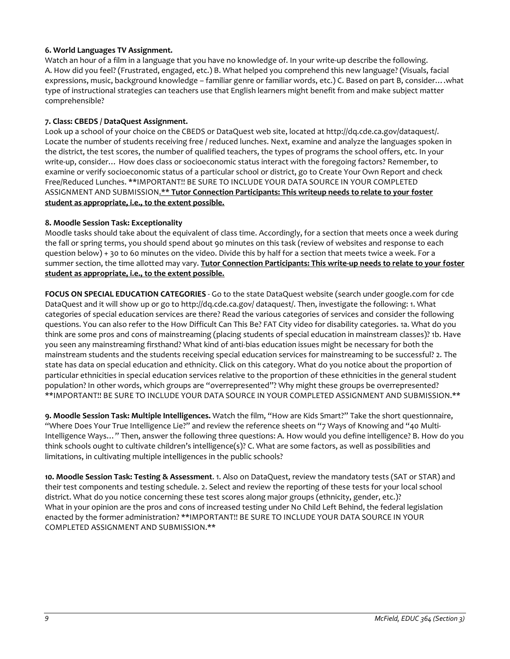# **6. World Languages TV Assignment.**

Watch an hour of a film in a language that you have no knowledge of. In your write-up describe the following. A. How did you feel? (Frustrated, engaged, etc.) B. What helped you comprehend this new language? (Visuals, facial expressions, music, background knowledge – familiar genre or familiar words, etc.) C. Based on part B, consider….what type of instructional strategies can teachers use that English learners might benefit from and make subject matter comprehensible?

### **7. Class: CBEDS / DataQuest Assignment.**

Look up a school of your choice on the CBEDS or DataQuest web site, located at http://dq.cde.ca.gov/dataquest/. Locate the number of students receiving free / reduced lunches. Next, examine and analyze the languages spoken in the district, the test scores, the number of qualified teachers, the types of programs the school offers, etc. In your write-up, consider… How does class or socioeconomic status interact with the foregoing factors? Remember, to examine or verify socioeconomic status of a particular school or district, go to Create Your Own Report and check Free/Reduced Lunches. \*\*IMPORTANT!! BE SURE TO INCLUDE YOUR DATA SOURCE IN YOUR COMPLETED ASSIGNMENT AND SUBMISSION.\*\* **Tutor Connection Participants: This writeup needs to relate to your foster student as appropriate, i.e., to the extent possible.**

### **8. Moodle Session Task: Exceptionality**

Moodle tasks should take about the equivalent of class time. Accordingly, for a section that meets once a week during the fall or spring terms, you should spend about 90 minutes on this task (review of websites and response to each question below) + 30 to 60 minutes on the video. Divide this by half for a section that meets twice a week. For a summer section, the time allotted may vary. **Tutor Connection Participants: This write-up needs to relate to your foster student as appropriate, i.e., to the extent possible.**

**FOCUS ON SPECIAL EDUCATION CATEGORIES** - Go to the state DataQuest website (search under google.com for cde DataQuest and it will show up or go to http://dq.cde.ca.gov/ dataquest/. Then, investigate the following: 1. What categories of special education services are there? Read the various categories of services and consider the following questions. You can also refer to the How Difficult Can This Be? FAT City video for disability categories. 1a. What do you think are some pros and cons of mainstreaming (placing students of special education in mainstream classes)? 1b. Have you seen any mainstreaming firsthand? What kind of anti-bias education issues might be necessary for both the mainstream students and the students receiving special education services for mainstreaming to be successful? 2. The state has data on special education and ethnicity. Click on this category. What do you notice about the proportion of particular ethnicities in special education services relative to the proportion of these ethnicities in the general student population? In other words, which groups are "overrepresented"? Why might these groups be overrepresented? \*\*IMPORTANT!! BE SURE TO INCLUDE YOUR DATA SOURCE IN YOUR COMPLETED ASSIGNMENT AND SUBMISSION.\*\*

**9. Moodle Session Task: Multiple Intelligences.** Watch the film, "How are Kids Smart?" Take the short questionnaire, "Where Does Your True Intelligence Lie?" and review the reference sheets on "7 Ways of Knowing and "40 Multi-Intelligence Ways…" Then, answer the following three questions: A. How would you define intelligence? B. How do you think schools ought to cultivate children's intelligence(s)? C. What are some factors, as well as possibilities and limitations, in cultivating multiple intelligences in the public schools?

**10. Moodle Session Task: Testing & Assessment**. 1. Also on DataQuest, review the mandatory tests (SAT or STAR) and their test components and testing schedule. 2. Select and review the reporting of these tests for your local school district. What do you notice concerning these test scores along major groups (ethnicity, gender, etc.)? What in your opinion are the pros and cons of increased testing under No Child Left Behind, the federal legislation enacted by the former administration? \*\*IMPORTANT!! BE SURE TO INCLUDE YOUR DATA SOURCE IN YOUR COMPLETED ASSIGNMENT AND SUBMISSION.\*\*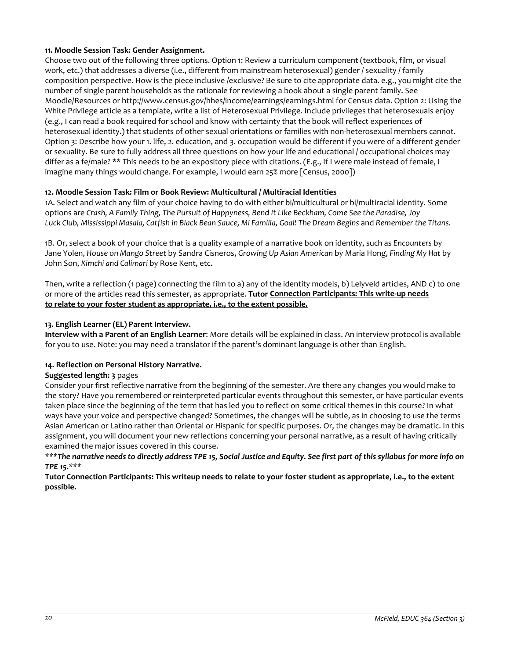### **11. Moodle Session Task: Gender Assignment.**

Choose two out of the following three options. Option 1: Review a curriculum component (textbook, film, or visual work, etc.) that addresses a diverse (i.e., different from mainstream heterosexual) gender / sexuality / family composition perspective. How is the piece inclusive /exclusive? Be sure to cite appropriate data. e.g., you might cite the number of single parent households as the rationale for reviewing a book about a single parent family. See Moodle/Resources or http://www.census.gov/hhes/income/earnings/earnings.html for Census data. Option 2: Using the White Privilege article as a template, write a list of Heterosexual Privilege. Include privileges that heterosexuals enjoy (e.g., I can read a book required for school and know with certainty that the book will reflect experiences of heterosexual identity.) that students of other sexual orientations or families with non-heterosexual members cannot. Option 3: Describe how your 1. life, 2. education, and 3. occupation would be different if you were of a different gender or sexuality. Be sure to fully address all three questions on how your life and educational / occupational choices may differ as a fe/male? \*\* This needs to be an expository piece with citations. (E.g., If I were male instead of female, I imagine many things would change. For example, I would earn 25% more [Census, 2000])

# **12. Moodle Session Task: Film or Book Review: Multicultural / Multiracial Identities**

1A. Select and watch any film of your choice having to do with either bi/multicultural or bi/multiracial identity. Some options are *Crash, A Family Thing, The Pursuit of Happyness, Bend It Like Beckham, Come See the Paradise, Joy* Luck Club, Mississippi Masala, Catfish in Black Bean Sauce, Mi Familia, Goal! The Dream Begins and Remember the Titans.

1B. Or, select a book of your choice that is a quality example of a narrative book on identity, such as *Encounters* by Jane Yolen, *House on Mango Street* by Sandra Cisneros, *Growing Up Asian American* by Maria Hong, *Finding My Hat* by John Son, *Kimchi and Calimari* by Rose Kent, etc.

Then, write a reflection (1 page) connecting the film to a) any of the identity models, b) Lelyveld articles, AND c) to one or more of the articles read this semester, as appropriate. **Tutor Connection Participants: This write-up needs to relate to your foster student as appropriate, i.e., to the extent possible.**

### **13. English Learner (EL) Parent Interview.**

**Interview with a Parent of an English Learner**: More details will be explained in class. An interview protocol is available for you to use. Note: you may need a translator if the parent's dominant language is other than English.

#### **14. Reflection on Personal History Narrative.**

#### **Suggested length: 3** pages

Consider your first reflective narrative from the beginning of the semester. Are there any changes you would make to the story? Have you remembered or reinterpreted particular events throughout this semester, or have particular events taken place since the beginning of the term that has led you to reflect on some critical themes in this course? In what ways have your voice and perspective changed? Sometimes, the changes will be subtle, as in choosing to use the terms Asian American or Latino rather than Oriental or Hispanic for specific purposes. Or, the changes may be dramatic. In this assignment, you will document your new reflections concerning your personal narrative, as a result of having critically examined the major issues covered in this course.

*\*\*\*The narrative needs to directly address TPE 15, Social Justice and Equity. See first part of this syllabus for more info on TPE 15.\*\*\**

**Tutor Connection Participants: This writeup needs to relate to your foster student as appropriate, i.e., to the extent possible.**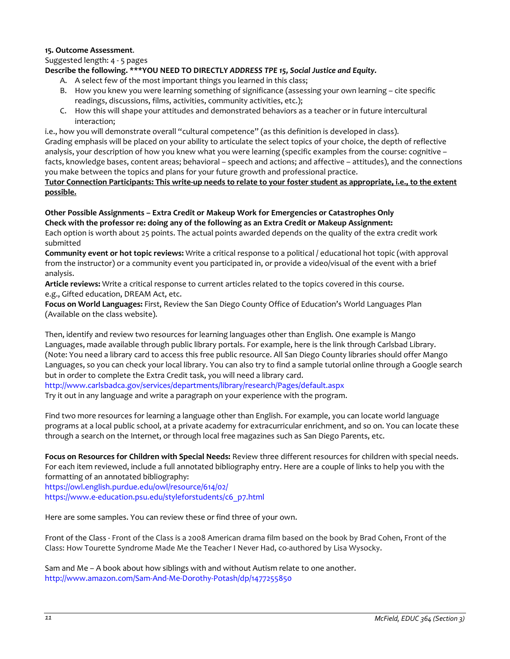#### **15. Outcome Assessment**.

Suggested length: 4 - 5 pages

### **Describe the following. \*\*\*YOU NEED TO DIRECTLY** *ADDRESS TPE 15, Social Justice and Equity.*

- A. A select few of the most important things you learned in this class;
- B. How you knew you were learning something of significance (assessing your own learning cite specific readings, discussions, films, activities, community activities, etc.);
- C. How this will shape your attitudes and demonstrated behaviors as a teacher or in future intercultural interaction;

i.e., how you will demonstrate overall "cultural competence" (as this definition is developed in class). Grading emphasis will be placed on your ability to articulate the select topics of your choice, the depth of reflective analysis, your description of how you knew what you were learning (specific examples from the course: cognitive – facts, knowledge bases, content areas; behavioral – speech and actions; and affective – attitudes), and the connections you make between the topics and plans for your future growth and professional practice.

**Tutor Connection Participants: This write-up needs to relate to your foster student as appropriate, i.e., to the extent possible.**

# **Other Possible Assignments – Extra Credit or Makeup Work for Emergencies or Catastrophes Only Check with the professor re: doing any of the following as an Extra Credit or Makeup Assignment:**

Each option is worth about 25 points. The actual points awarded depends on the quality of the extra credit work submitted

**Community event or hot topic reviews:** Write a critical response to a political / educational hot topic (with approval from the instructor) or a community event you participated in, or provide a video/visual of the event with a brief analysis.

**Article reviews:** Write a critical response to current articles related to the topics covered in this course. e.g., Gifted education, DREAM Act, etc.

**Focus on World Languages:** First, Review the San Diego County Office of Education's World Languages Plan (Available on the class website).

Then, identify and review two resources for learning languages other than English. One example is Mango Languages, made available through public library portals. For example, here is the link through Carlsbad Library. (Note: You need a library card to access this free public resource. All San Diego County libraries should offer Mango Languages, so you can check your local library. You can also try to find a sample tutorial online through a Google search but in order to complete the Extra Credit task, you will need a library card.

http://www.carlsbadca.gov/services/departments/library/research/Pages/default.aspx Try it out in any language and write a paragraph on your experience with the program.

Find two more resources for learning a language other than English. For example, you can locate world language programs at a local public school, at a private academy for extracurricular enrichment, and so on. You can locate these through a search on the Internet, or through local free magazines such as San Diego Parents, etc.

**Focus on Resources for Children with Special Needs:** Review three different resources for children with special needs. For each item reviewed, include a full annotated bibliography entry. Here are a couple of links to help you with the formatting of an annotated bibliography:

https://owl.english.purdue.edu/owl/resource/614/02/ [https://www.e-education.psu.edu/styleforstudents/c6\\_p7.html](https://www.e-education.psu.edu/styleforstudents/c6_p7.html)

Here are some samples. You can review these or find three of your own.

Front of the Class - Front of the Class is a 2008 American drama film based on the book by Brad Cohen, Front of the Class: How Tourette Syndrome Made Me the Teacher I Never Had, co-authored by Lisa Wysocky.

Sam and Me – A book about how siblings with and without Autism relate to one another. http://www.amazon.com/Sam-And-Me-Dorothy-Potash/dp/1477255850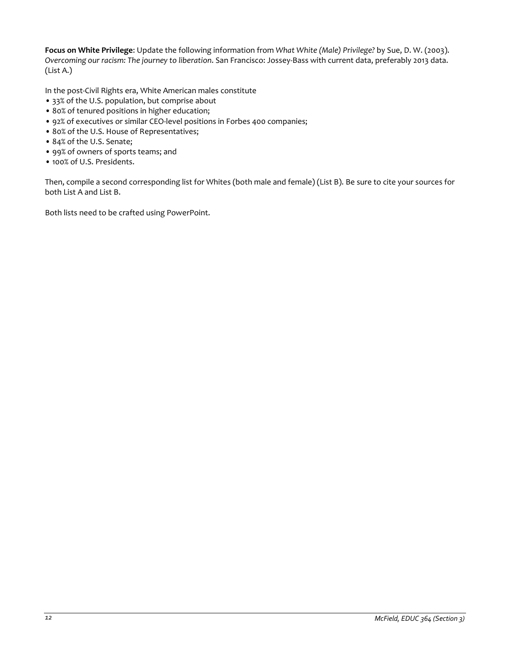**Focus on White Privilege**: Update the following information from *What White (Male) Privilege?* by Sue, D. W. (2003). *Overcoming our racism: The journey to liberation*. San Francisco: Jossey-Bass with current data, preferably 2013 data. (List A.)

In the post-Civil Rights era, White American males constitute

- 33% of the U.S. population, but comprise about
- 80% of tenured positions in higher education;
- 92% of executives or similar CEO-level positions in Forbes 400 companies;
- 80% of the U.S. House of Representatives;
- 84% of the U.S. Senate;
- 99% of owners of sports teams; and
- 100% of U.S. Presidents.

Then, compile a second corresponding list for Whites (both male and female) (List B). Be sure to cite your sources for both List A and List B.

Both lists need to be crafted using PowerPoint.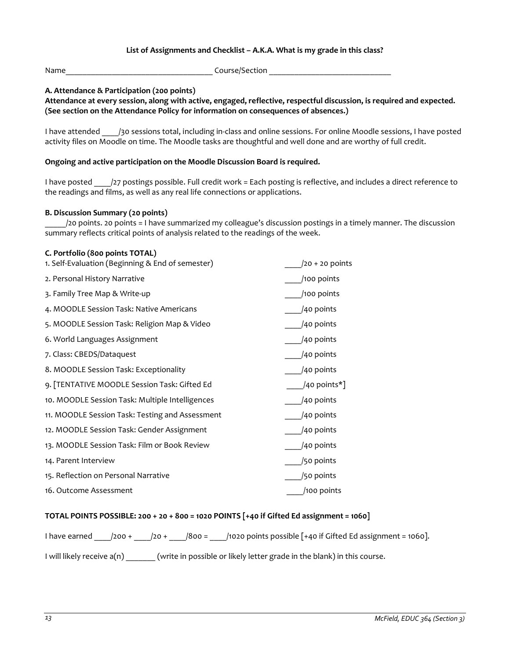### **List of Assignments and Checklist – A.K.A. What is my grade in this class?**

<span id="page-12-0"></span>Name\_\_\_\_\_\_\_\_\_\_\_\_\_\_\_\_\_\_\_\_\_\_\_\_\_\_\_\_\_\_\_\_\_\_\_ Course/Section \_\_\_\_\_\_\_\_\_\_\_\_\_\_\_\_\_\_\_\_\_\_\_\_\_\_\_\_\_

### **A. Attendance & Participation (200 points)**

**Attendance at every session, along with active, engaged, reflective, respectful discussion, is required and expected. (See section on the Attendance Policy for information on consequences of absences.)**

I have attended /30 sessions total, including in-class and online sessions. For online Moodle sessions, I have posted activity files on Moodle on time. The Moodle tasks are thoughtful and well done and are worthy of full credit.

#### **Ongoing and active participation on the Moodle Discussion Board is required.**

I have posted /27 postings possible. Full credit work = Each posting is reflective, and includes a direct reference to the readings and films, as well as any real life connections or applications.

#### **B. Discussion Summary (20 points)**

\_\_\_\_\_/20 points. 20 points = I have summarized my colleague's discussion postings in a timely manner. The discussion summary reflects critical points of analysis related to the readings of the week.

#### **C. Portfolio (800 points TOTAL)**

| 1. Self-Evaluation (Beginning & End of semester) | $/20 + 20$ points |
|--------------------------------------------------|-------------------|
| 2. Personal History Narrative                    | /100 points       |
| 3. Family Tree Map & Write-up                    | /100 points       |
| 4. MOODLE Session Task: Native Americans         | /40 points        |
| 5. MOODLE Session Task: Religion Map & Video     | /40 points        |
| 6. World Languages Assignment                    | /40 points        |
| 7. Class: CBEDS/Dataquest                        | /40 points        |
| 8. MOODLE Session Task: Exceptionality           | /40 points        |
| 9. [TENTATIVE MOODLE Session Task: Gifted Ed     | /40 points*]      |
| 10. MOODLE Session Task: Multiple Intelligences  | /40 points        |
| 11. MOODLE Session Task: Testing and Assessment  | /40 points        |
| 12. MOODLE Session Task: Gender Assignment       | /40 points        |
| 13. MOODLE Session Task: Film or Book Review     | /40 points        |
| 14. Parent Interview                             | /50 points        |
| 15. Reflection on Personal Narrative             | /50 points        |
| 16. Outcome Assessment                           | /100 points       |

#### **TOTAL POINTS POSSIBLE: 200 + 20 + 800 = 1020 POINTS [+40 if Gifted Ed assignment = 1060]**

I have earned \_\_\_\_/200 + \_\_\_\_/20 + \_\_\_\_/800 = \_\_\_\_/1020 points possible [+40 if Gifted Ed assignment = 1060].

I will likely receive a(n) \_\_\_\_\_\_\_ (write in possible or likely letter grade in the blank) in this course.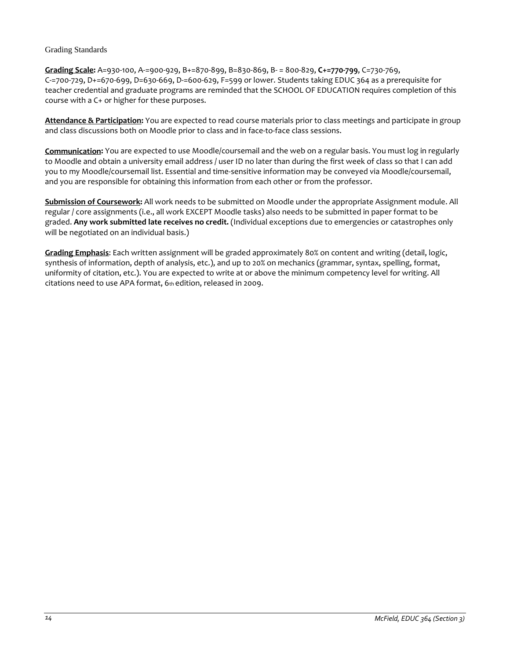#### <span id="page-13-0"></span>Grading Standards

**Grading Scale:** A=930-100, A-=900-929, B+=870-899, B=830-869, B- = 800-829, **C+=770-799**, C=730-769, C-=700-729, D+=670-699, D=630-669, D-=600-629, F=599 or lower. Students taking EDUC 364 as a prerequisite for teacher credential and graduate programs are reminded that the SCHOOL OF EDUCATION requires completion of this course with a C+ or higher for these purposes.

**Attendance & Participation:** You are expected to read course materials prior to class meetings and participate in group and class discussions both on Moodle prior to class and in face-to-face class sessions.

**Communication:** You are expected to use Moodle/coursemail and the web on a regular basis. You must log in regularly to Moodle and obtain a university email address / user ID no later than during the first week of class so that I can add you to my Moodle/coursemail list. Essential and time-sensitive information may be conveyed via Moodle/coursemail, and you are responsible for obtaining this information from each other or from the professor.

**Submission of Coursework:** All work needs to be submitted on Moodle under the appropriate Assignment module. All regular / core assignments (i.e., all work EXCEPT Moodle tasks) also needs to be submitted in paper format to be graded. **Any work submitted late receives no credit.** (Individual exceptions due to emergencies or catastrophes only will be negotiated on an individual basis.)

**Grading Emphasis**: Each written assignment will be graded approximately 80% on content and writing (detail, logic, synthesis of information, depth of analysis, etc.), and up to 20% on mechanics (grammar, syntax, spelling, format, uniformity of citation, etc.). You are expected to write at or above the minimum competency level for writing. All citations need to use APA format, 6th edition, released in 2009.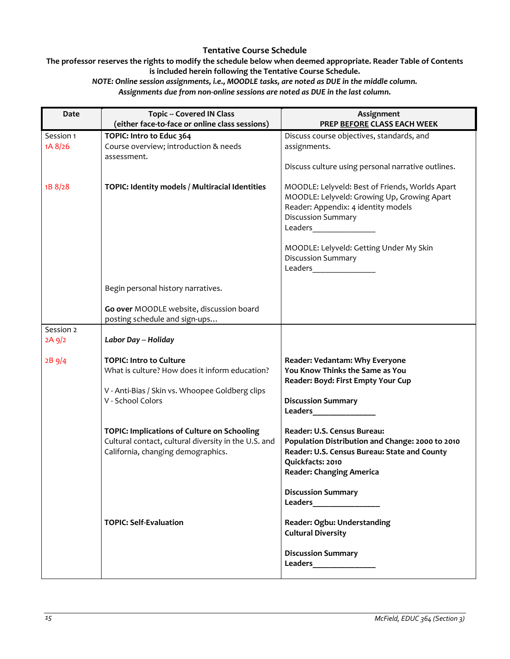# **Tentative Course Schedule**

<span id="page-14-0"></span>**The professor reserves the rights to modify the schedule below when deemed appropriate. Reader Table of Contents is included herein following the Tentative Course Schedule.**

*NOTE: Online session assignments, i.e., MOODLE tasks, are noted as DUE in the middle column. Assignments due from non-online sessions are noted as DUE in the last column.*

| Date                  | <b>Topic -- Covered IN Class</b><br>(either face-to-face or online class sessions)                                                        | Assignment<br>PREP BEFORE CLASS EACH WEEK                                                                                                                                                                                                                                          |
|-----------------------|-------------------------------------------------------------------------------------------------------------------------------------------|------------------------------------------------------------------------------------------------------------------------------------------------------------------------------------------------------------------------------------------------------------------------------------|
| Session 1<br>1A 8/26  | TOPIC: Intro to Educ 364<br>Course overview; introduction & needs<br>assessment.                                                          | Discuss course objectives, standards, and<br>assignments.<br>Discuss culture using personal narrative outlines.                                                                                                                                                                    |
| 1B 8/28               | TOPIC: Identity models / Multiracial Identities                                                                                           | MOODLE: Lelyveld: Best of Friends, Worlds Apart<br>MOODLE: Lelyveld: Growing Up, Growing Apart<br>Reader: Appendix: 4 identity models<br><b>Discussion Summary</b><br>Leaders__________________<br>MOODLE: Lelyveld: Getting Under My Skin<br><b>Discussion Summary</b><br>Leaders |
|                       | Begin personal history narratives.                                                                                                        |                                                                                                                                                                                                                                                                                    |
|                       | Go over MOODLE website, discussion board<br>posting schedule and sign-ups                                                                 |                                                                                                                                                                                                                                                                                    |
| Session 2<br>$2A$ 9/2 | Labor Day -- Holiday                                                                                                                      |                                                                                                                                                                                                                                                                                    |
| 2B9/4                 | <b>TOPIC: Intro to Culture</b><br>What is culture? How does it inform education?                                                          | Reader: Vedantam: Why Everyone<br>You Know Thinks the Same as You<br>Reader: Boyd: First Empty Your Cup                                                                                                                                                                            |
|                       | V - Anti-Bias / Skin vs. Whoopee Goldberg clips<br>V - School Colors                                                                      | <b>Discussion Summary</b><br><b>Leaders</b> and the state of the state of the state of the state of the state of the state of the state of the state of the state of the state of the state of the state of the state of the state of the state of the state of                    |
|                       | TOPIC: Implications of Culture on Schooling<br>Cultural contact, cultural diversity in the U.S. and<br>California, changing demographics. | Reader: U.S. Census Bureau:<br>Population Distribution and Change: 2000 to 2010<br>Reader: U.S. Census Bureau: State and County<br>Quickfacts: 2010<br><b>Reader: Changing America</b>                                                                                             |
|                       |                                                                                                                                           | <b>Discussion Summary</b>                                                                                                                                                                                                                                                          |
|                       | <b>TOPIC: Self-Evaluation</b>                                                                                                             | Reader: Ogbu: Understanding<br><b>Cultural Diversity</b>                                                                                                                                                                                                                           |
|                       |                                                                                                                                           | <b>Discussion Summary</b>                                                                                                                                                                                                                                                          |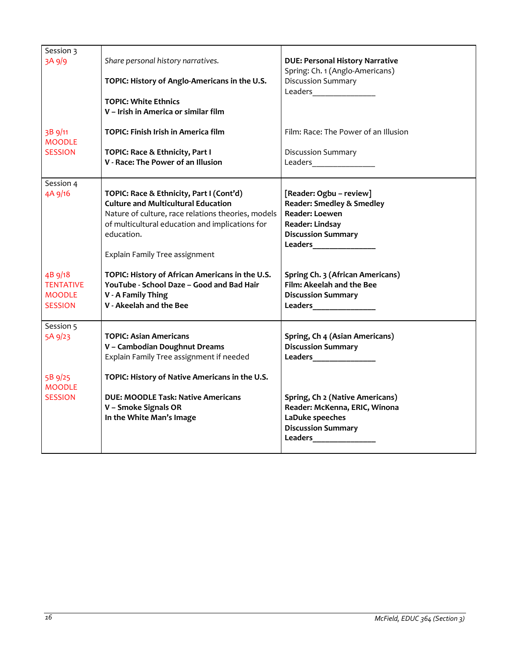| Session 3        |                                                                           |                                                                                                                                                                                                                                     |
|------------------|---------------------------------------------------------------------------|-------------------------------------------------------------------------------------------------------------------------------------------------------------------------------------------------------------------------------------|
| 3A 9/9           | Share personal history narratives.                                        | <b>DUE: Personal History Narrative</b>                                                                                                                                                                                              |
|                  |                                                                           | Spring: Ch. 1 (Anglo-Americans)                                                                                                                                                                                                     |
|                  | TOPIC: History of Anglo-Americans in the U.S.                             | <b>Discussion Summary</b>                                                                                                                                                                                                           |
|                  | <b>TOPIC: White Ethnics</b>                                               |                                                                                                                                                                                                                                     |
|                  | V - Irish in America or similar film                                      |                                                                                                                                                                                                                                     |
|                  |                                                                           |                                                                                                                                                                                                                                     |
| 3B 9/11          | TOPIC: Finish Irish in America film                                       | Film: Race: The Power of an Illusion                                                                                                                                                                                                |
| <b>MOODLE</b>    |                                                                           |                                                                                                                                                                                                                                     |
| <b>SESSION</b>   | TOPIC: Race & Ethnicity, Part I                                           | Discussion Summary                                                                                                                                                                                                                  |
|                  | V - Race: The Power of an Illusion                                        | Leaders___________________                                                                                                                                                                                                          |
| Session 4        |                                                                           |                                                                                                                                                                                                                                     |
| 4A 9/16          | TOPIC: Race & Ethnicity, Part I (Cont'd)                                  | [Reader: Ogbu - review]                                                                                                                                                                                                             |
|                  | <b>Culture and Multicultural Education</b>                                | <b>Reader: Smedley &amp; Smedley</b>                                                                                                                                                                                                |
|                  | Nature of culture, race relations theories, models                        | <b>Reader: Loewen</b>                                                                                                                                                                                                               |
|                  | of multicultural education and implications for                           | <b>Reader: Lindsay</b>                                                                                                                                                                                                              |
|                  | education.                                                                | <b>Discussion Summary</b>                                                                                                                                                                                                           |
|                  |                                                                           | <b>Leaders</b> and the set of the set of the set of the set of the set of the set of the set of the set of the set of the set of the set of the set of the set of the set of the set of the set of the set of the set of the set of |
|                  | Explain Family Tree assignment                                            |                                                                                                                                                                                                                                     |
| 4B 9/18          | TOPIC: History of African Americans in the U.S.                           | Spring Ch. 3 (African Americans)                                                                                                                                                                                                    |
| <b>TENTATIVE</b> | YouTube - School Daze - Good and Bad Hair                                 | Film: Akeelah and the Bee                                                                                                                                                                                                           |
| <b>MOODLE</b>    | V - A Family Thing                                                        | <b>Discussion Summary</b>                                                                                                                                                                                                           |
| <b>SESSION</b>   | V - Akeelah and the Bee                                                   |                                                                                                                                                                                                                                     |
|                  |                                                                           |                                                                                                                                                                                                                                     |
| Session 5        |                                                                           |                                                                                                                                                                                                                                     |
| 5A 9/23          | <b>TOPIC: Asian Americans</b>                                             | Spring, Ch 4 (Asian Americans)                                                                                                                                                                                                      |
|                  | V - Cambodian Doughnut Dreams<br>Explain Family Tree assignment if needed | <b>Discussion Summary</b>                                                                                                                                                                                                           |
|                  |                                                                           |                                                                                                                                                                                                                                     |
| 5B 9/25          | TOPIC: History of Native Americans in the U.S.                            |                                                                                                                                                                                                                                     |
| <b>MOODLE</b>    |                                                                           |                                                                                                                                                                                                                                     |
| <b>SESSION</b>   | <b>DUE: MOODLE Task: Native Americans</b>                                 | Spring, Ch 2 (Native Americans)                                                                                                                                                                                                     |
|                  | V - Smoke Signals OR                                                      | Reader: McKenna, ERIC, Winona                                                                                                                                                                                                       |
|                  | In the White Man's Image                                                  | LaDuke speeches                                                                                                                                                                                                                     |
|                  |                                                                           | <b>Discussion Summary</b>                                                                                                                                                                                                           |
|                  |                                                                           |                                                                                                                                                                                                                                     |
|                  |                                                                           |                                                                                                                                                                                                                                     |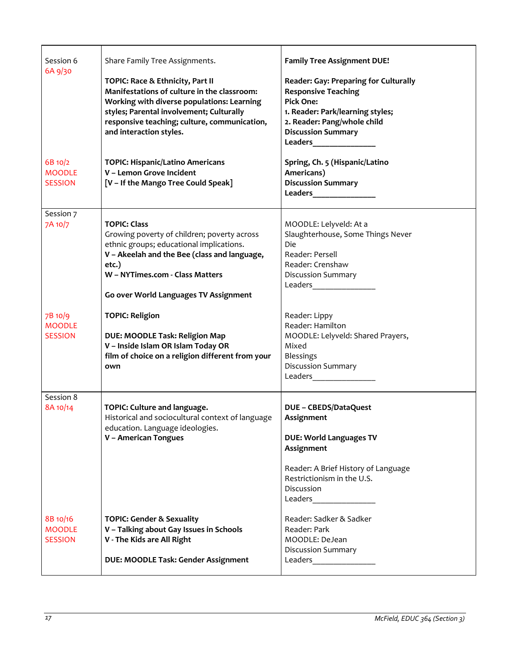| Session 6<br>6A 9/30<br>6B 10/2<br><b>MOODLE</b><br><b>SESSION</b> | Share Family Tree Assignments.<br>TOPIC: Race & Ethnicity, Part II<br>Manifestations of culture in the classroom:<br>Working with diverse populations: Learning<br>styles; Parental involvement; Culturally<br>responsive teaching; culture, communication,<br>and interaction styles.<br><b>TOPIC: Hispanic/Latino Americans</b><br>V - Lemon Grove Incident<br>[V - If the Mango Tree Could Speak] | <b>Family Tree Assignment DUE!</b><br><b>Reader: Gay: Preparing for Culturally</b><br><b>Responsive Teaching</b><br><b>Pick One:</b><br>1. Reader: Park/learning styles;<br>2. Reader: Pang/whole child<br><b>Discussion Summary</b><br>Leaders<br><u>Leaders</u><br>Spring, Ch. 5 (Hispanic/Latino<br>Americans)<br><b>Discussion Summary</b><br><b>Leaders</b> and the state of the state of the state of the state of the state of the state of the state of the state of the state of the state of the state of the state of the state of the state of the state of the state of |
|--------------------------------------------------------------------|------------------------------------------------------------------------------------------------------------------------------------------------------------------------------------------------------------------------------------------------------------------------------------------------------------------------------------------------------------------------------------------------------|--------------------------------------------------------------------------------------------------------------------------------------------------------------------------------------------------------------------------------------------------------------------------------------------------------------------------------------------------------------------------------------------------------------------------------------------------------------------------------------------------------------------------------------------------------------------------------------|
| Session 7<br>7A 10/7                                               | <b>TOPIC: Class</b><br>Growing poverty of children; poverty across<br>ethnic groups; educational implications.<br>V - Akeelah and the Bee (class and language,<br>etc.)<br>W - NYTimes.com - Class Matters<br>Go over World Languages TV Assignment                                                                                                                                                  | MOODLE: Lelyveld: At a<br>Slaughterhouse, Some Things Never<br>Die<br>Reader: Persell<br>Reader: Crenshaw<br><b>Discussion Summary</b><br>Leaders __________                                                                                                                                                                                                                                                                                                                                                                                                                         |
| 7B 10/9<br><b>MOODLE</b><br><b>SESSION</b>                         | <b>TOPIC: Religion</b><br><b>DUE: MOODLE Task: Religion Map</b><br>V - Inside Islam OR Islam Today OR<br>film of choice on a religion different from your<br>own                                                                                                                                                                                                                                     | Reader: Lippy<br>Reader: Hamilton<br>MOODLE: Lelyveld: Shared Prayers,<br>Mixed<br><b>Blessings</b><br><b>Discussion Summary</b><br>Leaders ____________                                                                                                                                                                                                                                                                                                                                                                                                                             |
| Session 8<br>8A 10/14                                              | TOPIC: Culture and language.<br>Historical and sociocultural context of language<br>education. Language ideologies.<br>V - American Tongues                                                                                                                                                                                                                                                          | <b>DUE - CBEDS/DataQuest</b><br>Assignment<br><b>DUE: World Languages TV</b><br>Assignment<br>Reader: A Brief History of Language<br>Restrictionism in the U.S.<br>Discussion<br>Leaders _____________                                                                                                                                                                                                                                                                                                                                                                               |
| 8B 10/16<br><b>MOODLE</b><br><b>SESSION</b>                        | <b>TOPIC: Gender &amp; Sexuality</b><br>V - Talking about Gay Issues in Schools<br>V - The Kids are All Right<br>DUE: MOODLE Task: Gender Assignment                                                                                                                                                                                                                                                 | Reader: Sadker & Sadker<br>Reader: Park<br>MOODLE: DeJean<br><b>Discussion Summary</b><br>Leaders ____________                                                                                                                                                                                                                                                                                                                                                                                                                                                                       |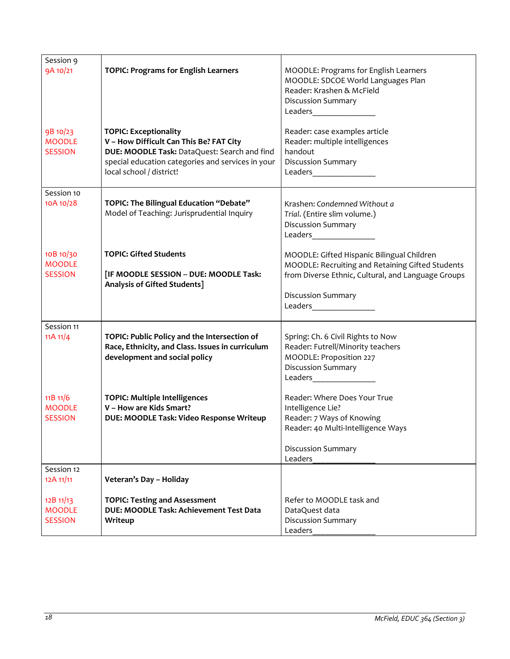| Session 9<br>9A 10/21<br>9B 10/23<br><b>MOODLE</b> | <b>TOPIC: Programs for English Learners</b><br><b>TOPIC: Exceptionality</b><br>V - How Difficult Can This Be? FAT City            | MOODLE: Programs for English Learners<br>MOODLE: SDCOE World Languages Plan<br>Reader: Krashen & McField<br><b>Discussion Summary</b><br>Reader: case examples article<br>Reader: multiple intelligences       |
|----------------------------------------------------|-----------------------------------------------------------------------------------------------------------------------------------|----------------------------------------------------------------------------------------------------------------------------------------------------------------------------------------------------------------|
| <b>SESSION</b>                                     | DUE: MOODLE Task: DataQuest: Search and find<br>special education categories and services in your<br>local school / district!     | handout<br><b>Discussion Summary</b>                                                                                                                                                                           |
| Session 10<br>10A 10/28                            | TOPIC: The Bilingual Education "Debate"<br>Model of Teaching: Jurisprudential Inquiry                                             | Krashen: Condemned Without a<br>Trial. (Entire slim volume.)<br><b>Discussion Summary</b><br>Leaders _____________                                                                                             |
| 10B 10/30<br><b>MOODLE</b><br><b>SESSION</b>       | <b>TOPIC: Gifted Students</b><br>[IF MOODLE SESSION -- DUE: MOODLE Task:<br>Analysis of Gifted Students]                          | MOODLE: Gifted Hispanic Bilingual Children<br>MOODLE: Recruiting and Retaining Gifted Students<br>from Diverse Ethnic, Cultural, and Language Groups<br><b>Discussion Summary</b><br>Leaders__________________ |
| Session 11<br>11A 11/4                             | TOPIC: Public Policy and the Intersection of<br>Race, Ethnicity, and Class. Issues in curriculum<br>development and social policy | Spring: Ch. 6 Civil Rights to Now<br>Reader: Futrell/Minority teachers<br>MOODLE: Proposition 227<br><b>Discussion Summary</b><br>Leaders                                                                      |
| 11B 11/6<br><b>MOODLE</b><br><b>SESSION</b>        | <b>TOPIC: Multiple Intelligences</b><br>V - How are Kids Smart?<br>DUE: MOODLE Task: Video Response Writeup                       | Reader: Where Does Your True<br>Intelligence Lie?<br>Reader: 7 Ways of Knowing<br>Reader: 40 Multi-Intelligence Ways<br><b>Discussion Summary</b><br>Leaders                                                   |
| Session 12<br>12A 11/11                            | Veteran's Day - Holiday                                                                                                           |                                                                                                                                                                                                                |
| 12B 11/13<br><b>MOODLE</b><br><b>SESSION</b>       | <b>TOPIC: Testing and Assessment</b><br>DUE: MOODLE Task: Achievement Test Data<br>Writeup                                        | Refer to MOODLE task and<br>DataQuest data<br><b>Discussion Summary</b><br>Leaders                                                                                                                             |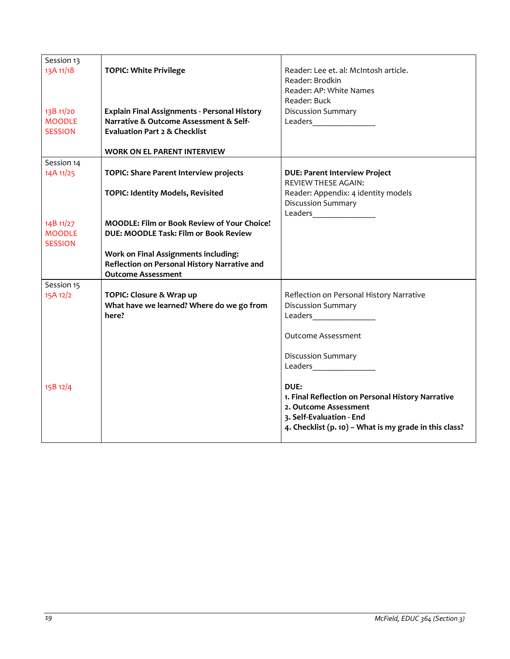| Session 13     |                                                     |                                                                                                                                                                                                                                 |
|----------------|-----------------------------------------------------|---------------------------------------------------------------------------------------------------------------------------------------------------------------------------------------------------------------------------------|
| 13A 11/18      | <b>TOPIC: White Privilege</b>                       | Reader: Lee et. al: McIntosh article.                                                                                                                                                                                           |
|                |                                                     | Reader: Brodkin                                                                                                                                                                                                                 |
|                |                                                     | Reader: AP: White Names                                                                                                                                                                                                         |
|                |                                                     | Reader: Buck                                                                                                                                                                                                                    |
| 13B 11/20      | <b>Explain Final Assignments - Personal History</b> | <b>Discussion Summary</b>                                                                                                                                                                                                       |
| <b>MOODLE</b>  | Narrative & Outcome Assessment & Self-              |                                                                                                                                                                                                                                 |
|                |                                                     | Leaders and the state of the state of the state of the state of the state of the state of the state of the state of the state of the state of the state of the state of the state of the state of the state of the state of the |
| <b>SESSION</b> | <b>Evaluation Part 2 &amp; Checklist</b>            |                                                                                                                                                                                                                                 |
|                |                                                     |                                                                                                                                                                                                                                 |
|                | <b>WORK ON EL PARENT INTERVIEW</b>                  |                                                                                                                                                                                                                                 |
| Session 14     |                                                     |                                                                                                                                                                                                                                 |
| 14A 11/25      | <b>TOPIC: Share Parent Interview projects</b>       | <b>DUE: Parent Interview Project</b>                                                                                                                                                                                            |
|                |                                                     | <b>REVIEW THESE AGAIN:</b>                                                                                                                                                                                                      |
|                | <b>TOPIC: Identity Models, Revisited</b>            | Reader: Appendix: 4 identity models                                                                                                                                                                                             |
|                |                                                     | Discussion Summary                                                                                                                                                                                                              |
|                |                                                     |                                                                                                                                                                                                                                 |
| 14B 11/27      | <b>MOODLE: Film or Book Review of Your Choice!</b>  |                                                                                                                                                                                                                                 |
| <b>MOODLE</b>  | <b>DUE: MOODLE Task: Film or Book Review</b>        |                                                                                                                                                                                                                                 |
| <b>SESSION</b> |                                                     |                                                                                                                                                                                                                                 |
|                | Work on Final Assignments including:                |                                                                                                                                                                                                                                 |
|                | Reflection on Personal History Narrative and        |                                                                                                                                                                                                                                 |
|                | <b>Outcome Assessment</b>                           |                                                                                                                                                                                                                                 |
| Session 15     |                                                     |                                                                                                                                                                                                                                 |
| 15A 12/2       | TOPIC: Closure & Wrap up                            | Reflection on Personal History Narrative                                                                                                                                                                                        |
|                | What have we learned? Where do we go from           | <b>Discussion Summary</b>                                                                                                                                                                                                       |
|                | here?                                               | Leaders<br><u>Leaders</u>                                                                                                                                                                                                       |
|                |                                                     |                                                                                                                                                                                                                                 |
|                |                                                     |                                                                                                                                                                                                                                 |
|                |                                                     | <b>Outcome Assessment</b>                                                                                                                                                                                                       |
|                |                                                     |                                                                                                                                                                                                                                 |
|                |                                                     | <b>Discussion Summary</b>                                                                                                                                                                                                       |
|                |                                                     |                                                                                                                                                                                                                                 |
|                |                                                     |                                                                                                                                                                                                                                 |
| 15B 12/4       |                                                     | DUE:                                                                                                                                                                                                                            |
|                |                                                     | 1. Final Reflection on Personal History Narrative                                                                                                                                                                               |
|                |                                                     | 2. Outcome Assessment                                                                                                                                                                                                           |
|                |                                                     | 3. Self-Evaluation - End                                                                                                                                                                                                        |
|                |                                                     | 4. Checklist (p. 10) - What is my grade in this class?                                                                                                                                                                          |
|                |                                                     |                                                                                                                                                                                                                                 |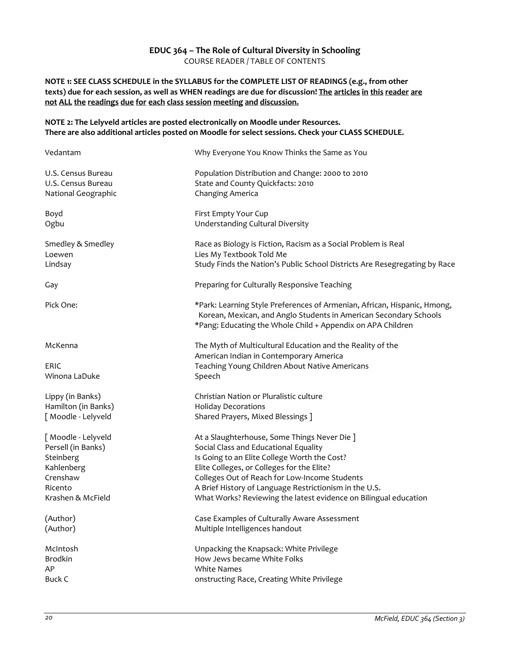# **EDUC 364 – The Role of Cultural Diversity in Schooling** COURSE READER / TABLE OF CONTENTS

### <span id="page-19-0"></span>**NOTE 1: SEE CLASS SCHEDULE in the SYLLABUS for the COMPLETE LIST OF READINGS (e.g., from other texts) due for each session, as well as WHEN readings are due for discussion! The articles in this reader are not ALL the readings due for each class session meeting and discussion.**

#### **NOTE 2: The Lelyveld articles are posted electronically on Moodle under Resources. There are also additional articles posted on Moodle for select sessions. Check your CLASS SCHEDULE.**

| Vedantam            | Why Everyone You Know Thinks the Same as You                                                                                                                                                                 |
|---------------------|--------------------------------------------------------------------------------------------------------------------------------------------------------------------------------------------------------------|
| U.S. Census Bureau  | Population Distribution and Change: 2000 to 2010                                                                                                                                                             |
| U.S. Census Bureau  | State and County Quickfacts: 2010                                                                                                                                                                            |
| National Geographic | Changing America                                                                                                                                                                                             |
| Boyd                | First Empty Your Cup                                                                                                                                                                                         |
| Ogbu                | Understanding Cultural Diversity                                                                                                                                                                             |
| Smedley & Smedley   | Race as Biology is Fiction, Racism as a Social Problem is Real                                                                                                                                               |
| Loewen              | Lies My Textbook Told Me                                                                                                                                                                                     |
| Lindsay             | Study Finds the Nation's Public School Districts Are Resegregating by Race                                                                                                                                   |
| Gay                 | Preparing for Culturally Responsive Teaching                                                                                                                                                                 |
| Pick One:           | *Park: Learning Style Preferences of Armenian, African, Hispanic, Hmong,<br>Korean, Mexican, and Anglo Students in American Secondary Schools<br>*Pang: Educating the Whole Child + Appendix on APA Children |
| McKenna             | The Myth of Multicultural Education and the Reality of the<br>American Indian in Contemporary America                                                                                                        |
| <b>ERIC</b>         | Teaching Young Children About Native Americans                                                                                                                                                               |
| Winona LaDuke       | Speech                                                                                                                                                                                                       |
| Lippy (in Banks)    | Christian Nation or Pluralistic culture                                                                                                                                                                      |
| Hamilton (in Banks) | <b>Holiday Decorations</b>                                                                                                                                                                                   |
| [ Moodle - Lelyveld | Shared Prayers, Mixed Blessings ]                                                                                                                                                                            |
| [ Moodle - Lelyveld | At a Slaughterhouse, Some Things Never Die ]                                                                                                                                                                 |
| Persell (in Banks)  | Social Class and Educational Equality                                                                                                                                                                        |
| Steinberg           | Is Going to an Elite College Worth the Cost?                                                                                                                                                                 |
| Kahlenberg          | Elite Colleges, or Colleges for the Elite?                                                                                                                                                                   |
| Crenshaw            | Colleges Out of Reach for Low-Income Students                                                                                                                                                                |
| Ricento             | A Brief History of Language Restrictionism in the U.S.                                                                                                                                                       |
| Krashen & McField   | What Works? Reviewing the latest evidence on Bilingual education                                                                                                                                             |
| (Author)            | Case Examples of Culturally Aware Assessment                                                                                                                                                                 |
| (Author)            | Multiple Intelligences handout                                                                                                                                                                               |
| McIntosh            | Unpacking the Knapsack: White Privilege                                                                                                                                                                      |
| <b>Brodkin</b>      | How Jews became White Folks                                                                                                                                                                                  |
| AP                  | <b>White Names</b>                                                                                                                                                                                           |
| <b>Buck C</b>       | onstructing Race, Creating White Privilege                                                                                                                                                                   |